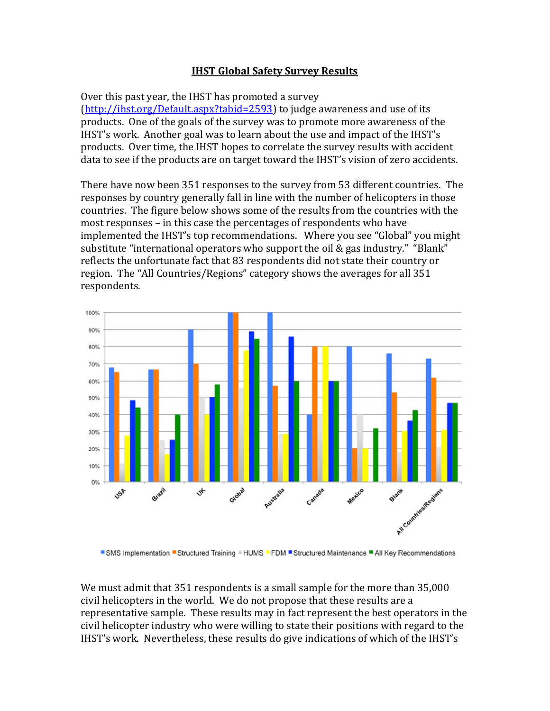## **IHST Global Safety Survey Results**

Over this past year, the IHST has promoted a survey  $(\text{http://ihst.org/survev})$  to judge awareness and use of its products. One of the goals of the survey was to promote more awareness of the IHST's work. Another goal was to learn about the use and impact of the IHST's products. Over time, the IHST hopes to correlate the survey results with accident data to see if the products are on target toward the IHST's vision of zero accidents.

There have now been 351 responses to the survey from 53 different countries. The responses by country generally fall in line with the number of helicopters in those countries. The figure below shows some of the results from the countries with the most responses – in this case the percentages of respondents who have implemented the IHST's top recommendations. Where you see "Global" you might substitute "international operators who support the oil  $\&$  gas industry." "Blank" reflects the unfortunate fact that 83 respondents did not state their country or region. The "All Countries/Regions" category shows the averages for all 351 respondents. 



■ SMS Implementation ■ Structured Training ■ HUMS ■ FDM ■ Structured Maintenance ■ All Key Recommendations

We must admit that 351 respondents is a small sample for the more than 35,000 civil helicopters in the world. We do not propose that these results are a representative sample. These results may in fact represent the best operators in the civil helicopter industry who were willing to state their positions with regard to the IHST's work. Nevertheless, these results do give indications of which of the IHST's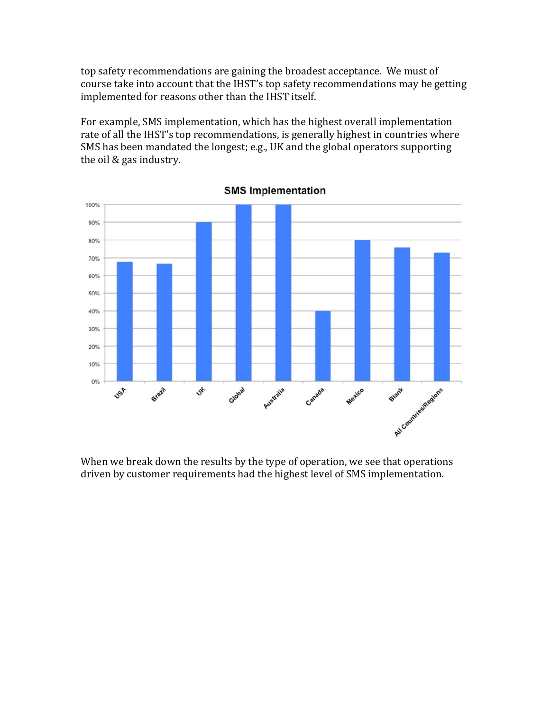top safety recommendations are gaining the broadest acceptance. We must of course take into account that the IHST's top safety recommendations may be getting implemented for reasons other than the IHST itself.

For example, SMS implementation, which has the highest overall implementation rate of all the IHST's top recommendations, is generally highest in countries where SMS has been mandated the longest; e.g., UK and the global operators supporting the oil & gas industry.



**SMS Implementation** 

When we break down the results by the type of operation, we see that operations driven by customer requirements had the highest level of SMS implementation.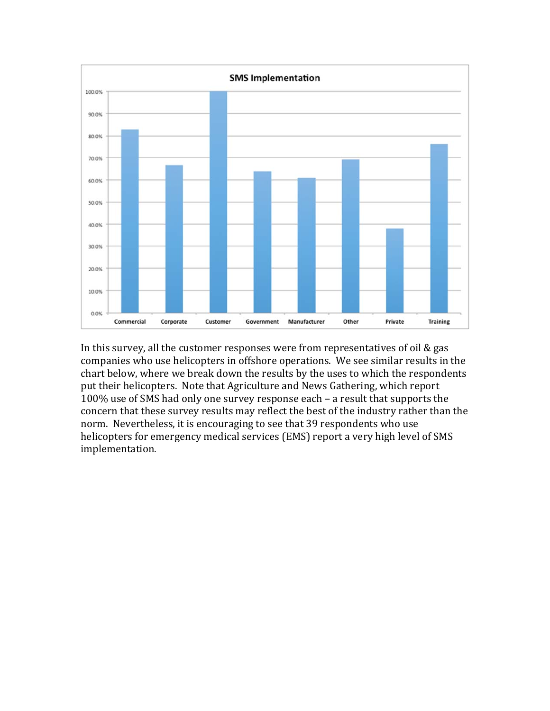

In this survey, all the customer responses were from representatives of oil  $&$  gas companies who use helicopters in offshore operations. We see similar results in the chart below, where we break down the results by the uses to which the respondents put their helicopters. Note that Agriculture and News Gathering, which report 100% use of SMS had only one survey response each - a result that supports the concern that these survey results may reflect the best of the industry rather than the norm. Nevertheless, it is encouraging to see that 39 respondents who use helicopters for emergency medical services (EMS) report a very high level of SMS implementation.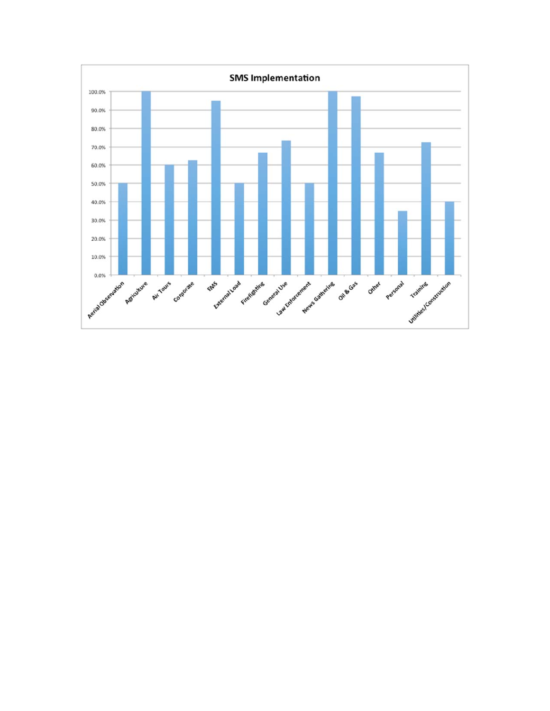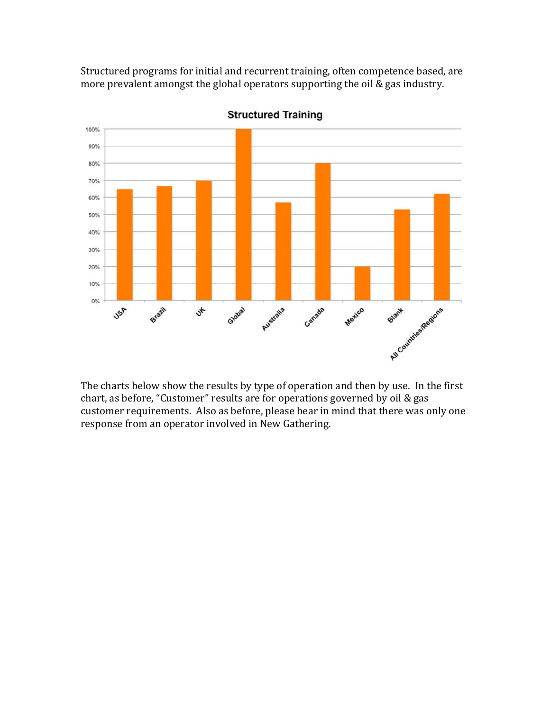Structured programs for initial and recurrent training, often competence based, are more prevalent amongst the global operators supporting the oil & gas industry.



**Structured Training** 

The charts below show the results by type of operation and then by use. In the first chart, as before, "Customer" results are for operations governed by oil & gas customer requirements. Also as before, please bear in mind that there was only one response from an operator involved in New Gathering.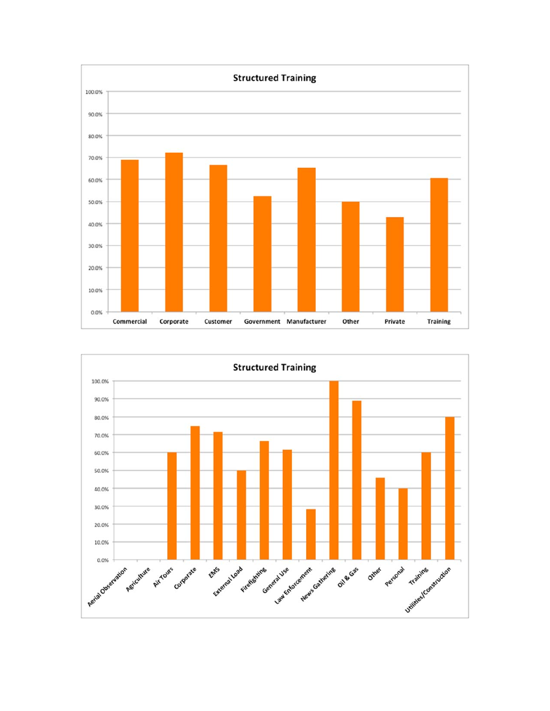

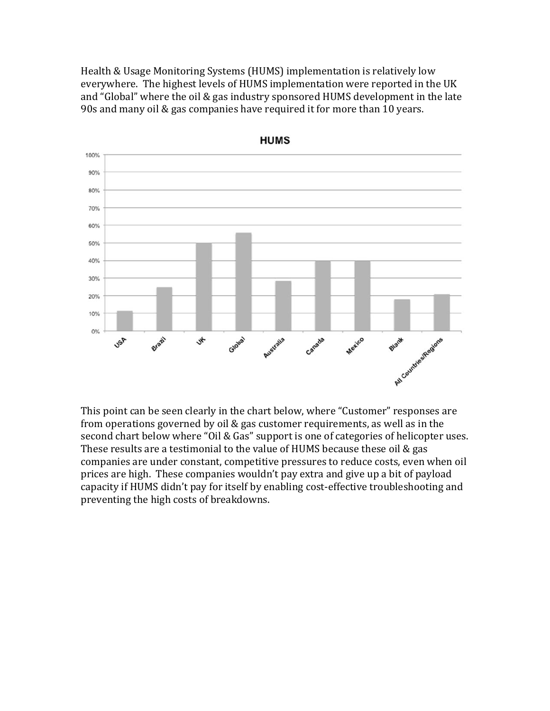Health & Usage Monitoring Systems (HUMS) implementation is relatively low everywhere. The highest levels of HUMS implementation were reported in the UK and "Global" where the oil & gas industry sponsored HUMS development in the late  $90s$  and many oil & gas companies have required it for more than 10 years.



This point can be seen clearly in the chart below, where "Customer" responses are from operations governed by oil & gas customer requirements, as well as in the second chart below where "Oil & Gas" support is one of categories of helicopter uses. These results are a testimonial to the value of HUMS because these oil  $&$  gas companies are under constant, competitive pressures to reduce costs, even when oil prices are high. These companies wouldn't pay extra and give up a bit of payload capacity if HUMS didn't pay for itself by enabling cost-effective troubleshooting and preventing the high costs of breakdowns.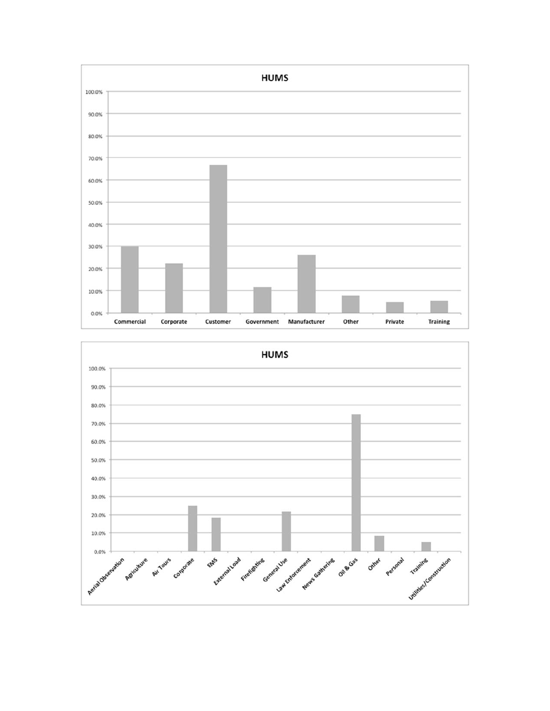

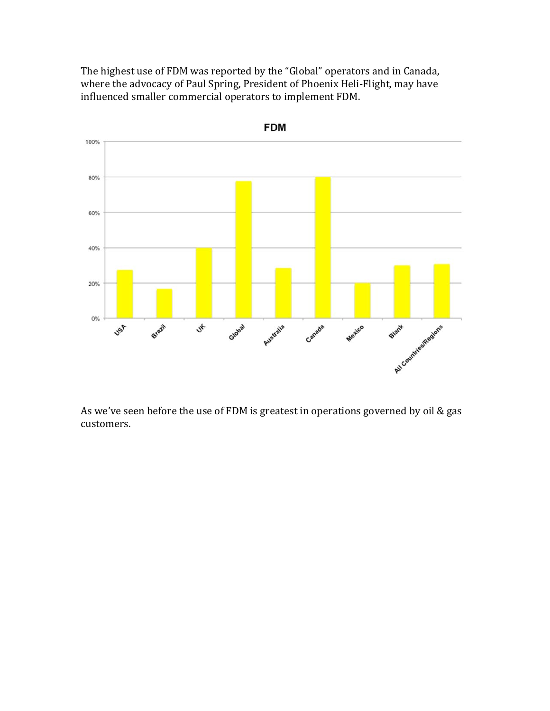The highest use of FDM was reported by the "Global" operators and in Canada, where the advocacy of Paul Spring, President of Phoenix Heli-Flight, may have influenced smaller commercial operators to implement FDM.



As we've seen before the use of FDM is greatest in operations governed by oil  $&$  gas customers.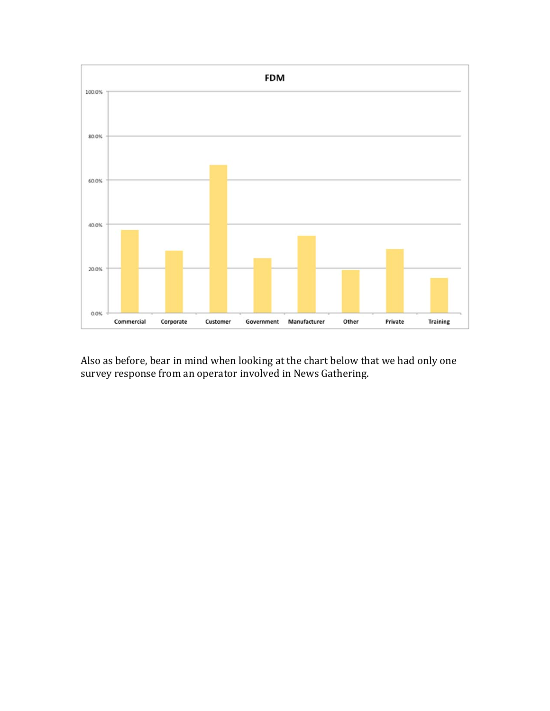

Also as before, bear in mind when looking at the chart below that we had only one survey response from an operator involved in News Gathering.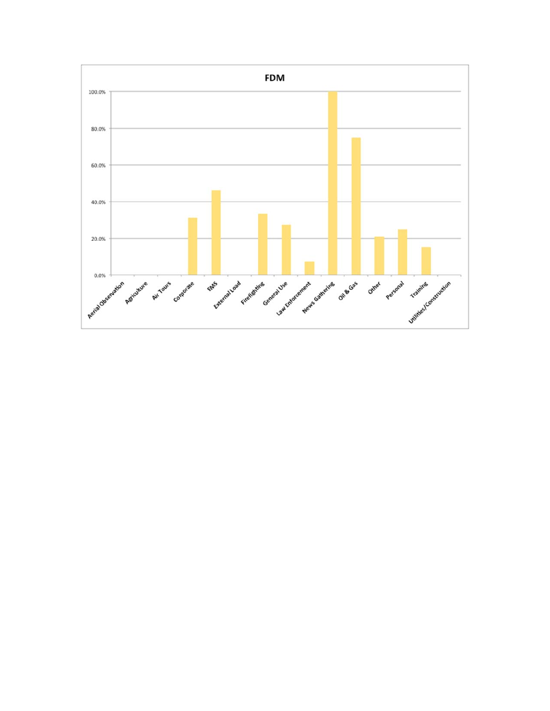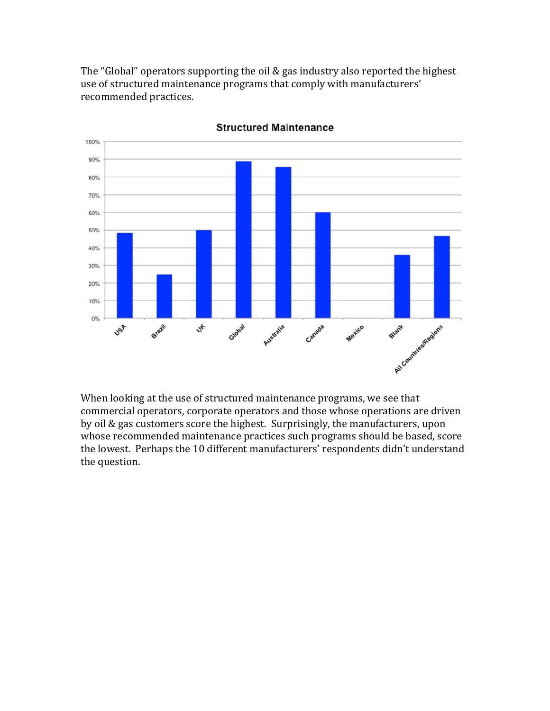The "Global" operators supporting the oil  $&$  gas industry also reported the highest use of structured maintenance programs that comply with manufacturers' recommended practices.



**Structured Maintenance** 

When looking at the use of structured maintenance programs, we see that commercial operators, corporate operators and those whose operations are driven by oil & gas customers score the highest. Surprisingly, the manufacturers, upon whose recommended maintenance practices such programs should be based, score the lowest. Perhaps the 10 different manufacturers' respondents didn't understand the question.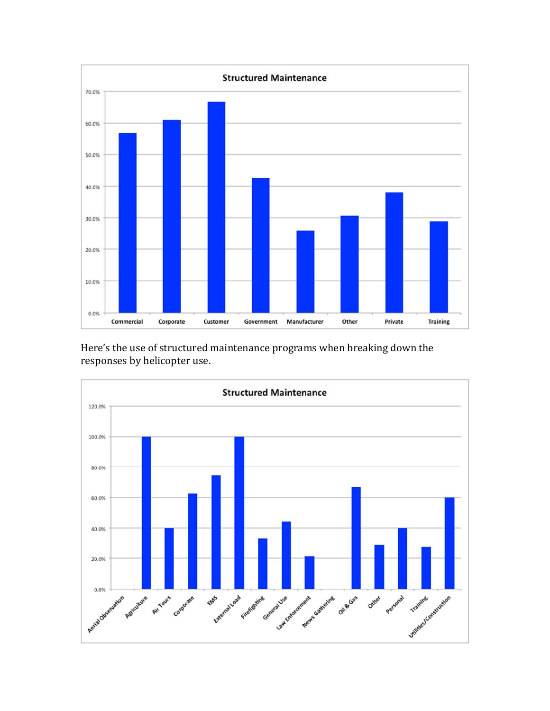

Here's the use of structured maintenance programs when breaking down the responses by helicopter use.

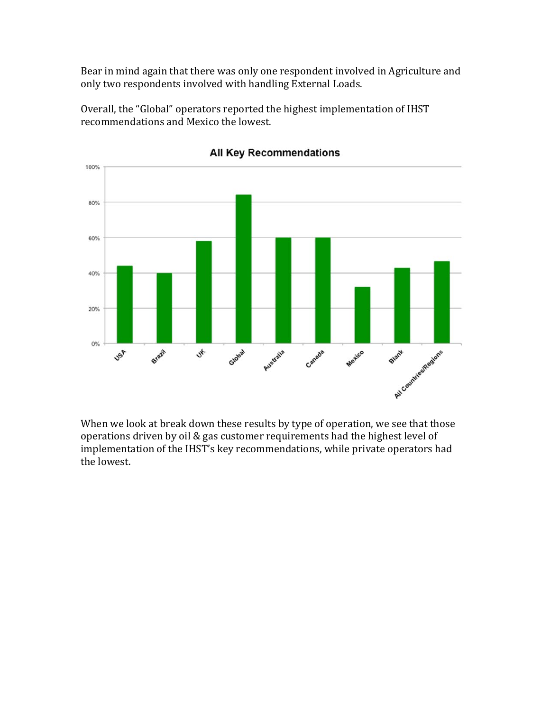Bear in mind again that there was only one respondent involved in Agriculture and only two respondents involved with handling External Loads.

Overall, the "Global" operators reported the highest implementation of IHST recommendations and Mexico the lowest.



All Key Recommendations

When we look at break down these results by type of operation, we see that those operations driven by oil & gas customer requirements had the highest level of implementation of the IHST's key recommendations, while private operators had the lowest.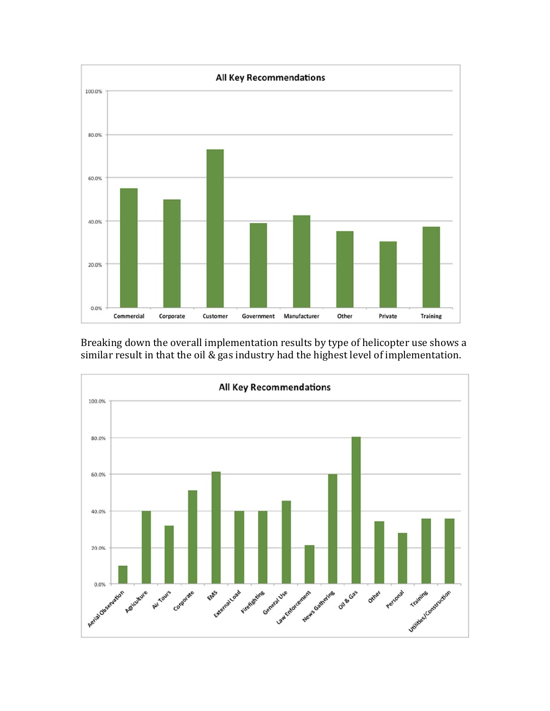

Breaking down the overall implementation results by type of helicopter use shows a similar result in that the oil  $&$  gas industry had the highest level of implementation.

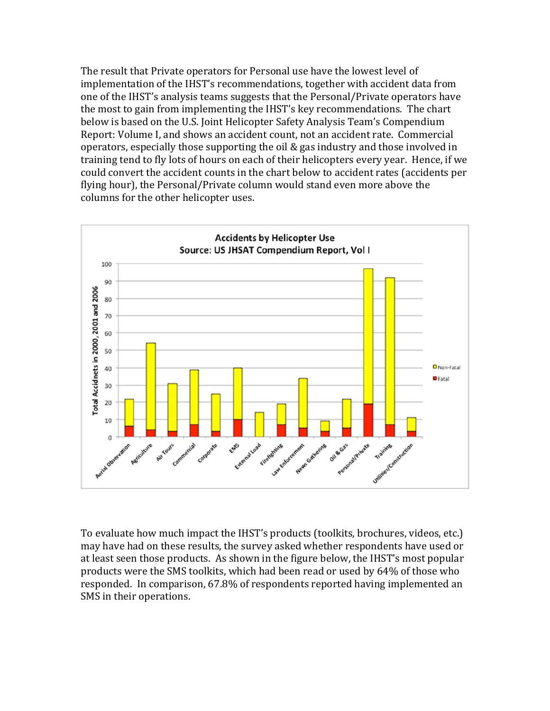The result that Private operators for Personal use have the lowest level of implementation of the IHST's recommendations, together with accident data from one of the IHST's analysis teams suggests that the Personal/Private operators have the most to gain from implementing the IHST's key recommendations. The chart below is based on the U.S. Joint Helicopter Safety Analysis Team's Compendium Report: Volume I, and shows an accident count, not an accident rate. Commercial operators, especially those supporting the oil & gas industry and those involved in training tend to fly lots of hours on each of their helicopters every year. Hence, if we could convert the accident counts in the chart below to accident rates (accidents per flying hour), the Personal/Private column would stand even more above the columns for the other helicopter uses.



To evaluate how much impact the IHST's products (toolkits, brochures, videos, etc.) may have had on these results, the survey asked whether respondents have used or at least seen those products. As shown in the figure below, the IHST's most popular products were the SMS toolkits, which had been read or used by 64% of those who responded. In comparison, 67.8% of respondents reported having implemented an SMS in their operations.